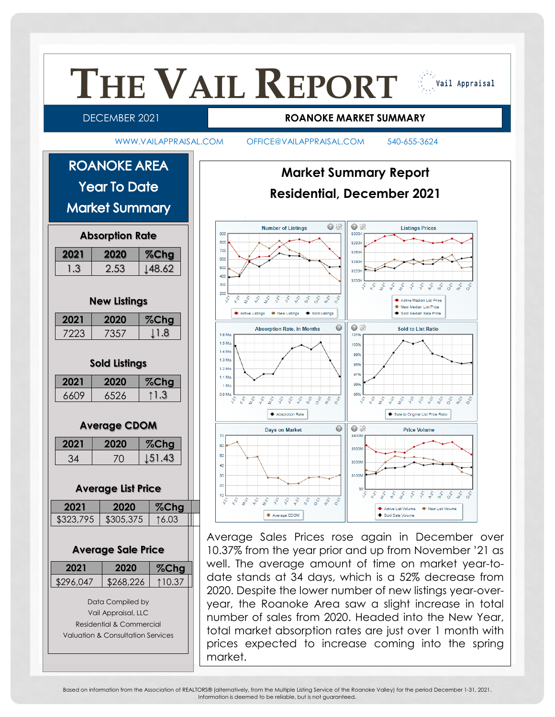

Based on information from the Association of REALTORS® (alternatively, from the Multiple Listing Service of the Roanoke Valley) for the period December 1-31, 2021. Information is deemed to be reliable, but is not guaranteed.